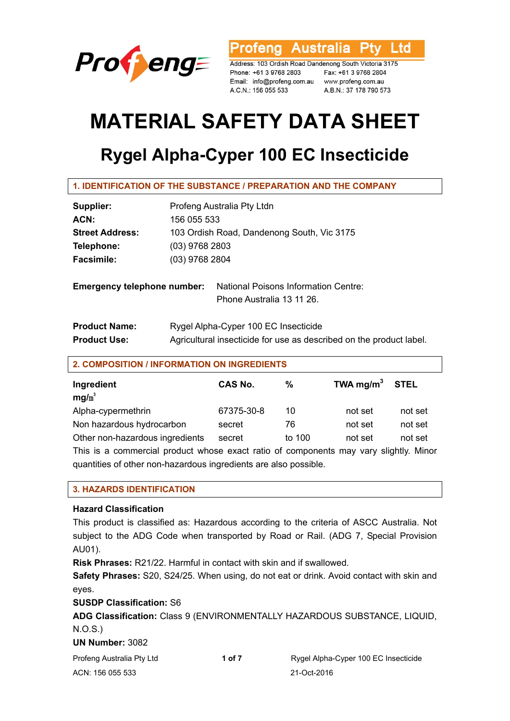

ofeng Australia l td

Address: 103 Ordish Road Dandenong South Victoria 3175 Phone: +61 3 9768 2803 Fax: +61 3 9768 2804 Email: info@profeng.com.au www.profeng.com.au A.C.N.: 156 055 533

A.B.N.: 37 178 790 573

# **MATERIAL SAFETY DATA SHEET**

## **Rygel Alpha-Cyper 100 EC Insecticide**

| Supplier:                          | Profeng Australia Pty Ltdn                                          |  |  |
|------------------------------------|---------------------------------------------------------------------|--|--|
| ACN:                               | 156 055 533                                                         |  |  |
| <b>Street Address:</b>             | 103 Ordish Road, Dandenong South, Vic 3175                          |  |  |
| Telephone:                         | $(03)$ 9768 2803                                                    |  |  |
| <b>Facsimile:</b>                  | $(03)$ 9768 2804                                                    |  |  |
| <b>Emergency telephone number:</b> | <b>National Poisons Information Centre:</b>                         |  |  |
|                                    | Phone Australia 13 11 26.                                           |  |  |
| <b>Product Name:</b>               | Rygel Alpha-Cyper 100 EC Insecticide                                |  |  |
| <b>Product Use:</b>                | Agricultural insecticide for use as described on the product label. |  |  |

#### **2. COMPOSITION / INFORMATION ON INGREDIENTS**

| Ingredient<br>$mq/m^3$                                                                | <b>CAS No.</b> | %      | TWA mg/m <sup>3</sup> STEL |         |  |
|---------------------------------------------------------------------------------------|----------------|--------|----------------------------|---------|--|
| Alpha-cypermethrin                                                                    | 67375-30-8     | 10     | not set                    | not set |  |
| Non hazardous hydrocarbon                                                             | secret         | 76     | not set                    | not set |  |
| Other non-hazardous ingredients                                                       | secret         | to 100 | not set                    | not set |  |
| This is a commercial product whose exact ratio of components may vary slightly. Minor |                |        |                            |         |  |
| quantities of other non-hazardous ingredients are also possible.                      |                |        |                            |         |  |

#### **3. HAZARDS IDENTIFICATION**

#### **Hazard Classification**

This product is classified as: Hazardous according to the criteria of ASCC Australia. Not subject to the ADG Code when transported by Road or Rail. (ADG 7, Special Provision AU01).

**Risk Phrases:** R21/22. Harmful in contact with skin and if swallowed.

**Safety Phrases:** S20, S24/25. When using, do not eat or drink. Avoid contact with skin and eyes.

**SUSDP Classification:** S6

**ADG Classification:** Class 9 (ENVIRONMENTALLY HAZARDOUS SUBSTANCE, LIQUID, N.O.S.)

#### **UN Number:** 3082

| Profeng Australia Pty Ltd | 1 of 7 | Rygel Alpha-Cyper 100 EC Insecticide |
|---------------------------|--------|--------------------------------------|
| ACN: 156 055 533          |        | 21-Oct-2016                          |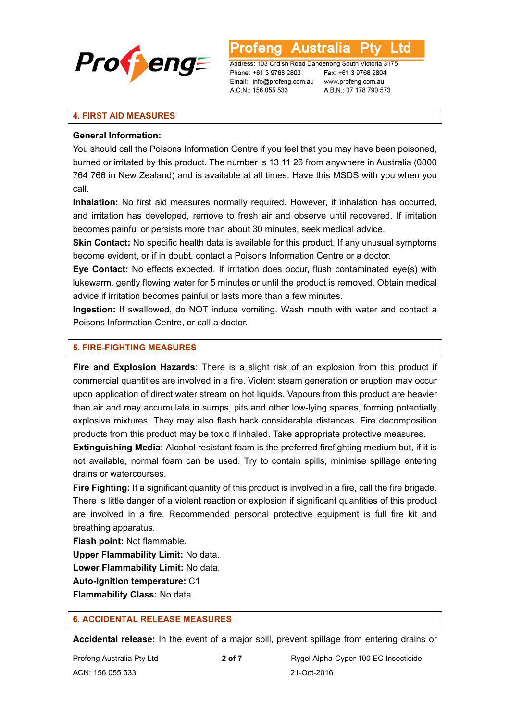

L to

Address: 103 Ordish Road Dandenong South Victoria 3175 Phone: +61 3 9768 2803 Email: info@profeng.com.au A.C.N.: 156 055 533

Fax: +61 3 9768 2804 www.profeng.com.au A.B.N.: 37 178 790 573

#### **4. FIRST AID MEASURES**

#### **General Information:**

You should call the Poisons Information Centre if you feel that you may have been poisoned, burned or irritated by this product. The number is 13 11 26 from anywhere in Australia (0800 764 766 in New Zealand) and is available at all times. Have this MSDS with you when you call.

**Inhalation:** No first aid measures normally required. However, if inhalation has occurred, and irritation has developed, remove to fresh air and observe until recovered. If irritation becomes painful or persists more than about 30 minutes, seek medical advice.

**Skin Contact:** No specific health data is available for this product. If any unusual symptoms become evident, or if in doubt, contact a Poisons Information Centre or a doctor.

**Eye Contact:** No effects expected. If irritation does occur, flush contaminated eye(s) with lukewarm, gently flowing water for 5 minutes or until the product is removed. Obtain medical advice if irritation becomes painful or lasts more than a few minutes.

**Ingestion:** If swallowed, do NOT induce vomiting. Wash mouth with water and contact a Poisons Information Centre, or call a doctor.

#### **5. FIRE-FIGHTING MEASURES**

**Fire and Explosion Hazards**: There is a slight risk of an explosion from this product if commercial quantities are involved in a fire. Violent steam generation or eruption may occur upon application of direct water stream on hot liquids. Vapours from this product are heavier than air and may accumulate in sumps, pits and other low-lying spaces, forming potentially explosive mixtures. They may also flash back considerable distances. Fire decomposition products from this product may be toxic if inhaled. Take appropriate protective measures.

**Extinguishing Media:** Alcohol resistant foam is the preferred firefighting medium but, if it is not available, normal foam can be used. Try to contain spills, minimise spillage entering drains or watercourses.

**Fire Fighting:** If a significant quantity of this product is involved in a fire, call the fire brigade. There is little danger of a violent reaction or explosion if significant quantities of this product are involved in a fire. Recommended personal protective equipment is full fire kit and breathing apparatus.

**Flash point:** Not flammable.

**Upper Flammability Limit:** No data.

**Lower Flammability Limit:** No data.

**Auto-Ignition temperature:** C1

**Flammability Class:** No data.

#### **6. ACCIDENTAL RELEASE MEASURES**

**Accidental release:** In the event of a major spill, prevent spillage from entering drains or

ACN: 156 055 533 21-Oct-2016

Profeng Australia Pty Ltd **2 of 7 Rygel Alpha-Cyper 100 EC Insecticide**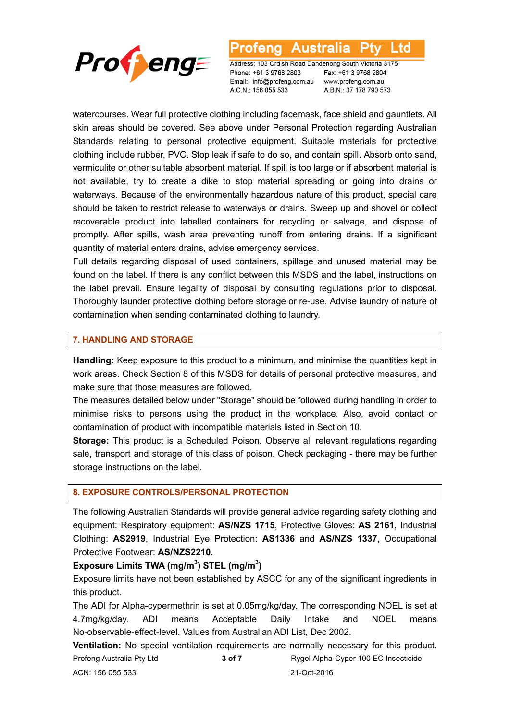

#### Australia l td otena

Address: 103 Ordish Road Dandenong South Victoria 3175 Phone: +61 3 9768 2803 Email: info@profeng.com.au A.C.N.: 156 055 533

Fax: +61 3 9768 2804 www.profeng.com.au A.B.N.: 37 178 790 573

watercourses. Wear full protective clothing including facemask, face shield and gauntlets. All skin areas should be covered. See above under Personal Protection regarding Australian Standards relating to personal protective equipment. Suitable materials for protective clothing include rubber, PVC. Stop leak if safe to do so, and contain spill. Absorb onto sand, vermiculite or other suitable absorbent material. If spill is too large or if absorbent material is not available, try to create a dike to stop material spreading or going into drains or waterways. Because of the environmentally hazardous nature of this product, special care should be taken to restrict release to waterways or drains. Sweep up and shovel or collect recoverable product into labelled containers for recycling or salvage, and dispose of promptly. After spills, wash area preventing runoff from entering drains. If a significant quantity of material enters drains, advise emergency services.

Full details regarding disposal of used containers, spillage and unused material may be found on the label. If there is any conflict between this MSDS and the label, instructions on the label prevail. Ensure legality of disposal by consulting regulations prior to disposal. Thoroughly launder protective clothing before storage or re-use. Advise laundry of nature of contamination when sending contaminated clothing to laundry.

#### **7. HANDLING AND STORAGE**

**Handling:** Keep exposure to this product to a minimum, and minimise the quantities kept in work areas. Check Section 8 of this MSDS for details of personal protective measures, and make sure that those measures are followed.

The measures detailed below under "Storage" should be followed during handling in order to minimise risks to persons using the product in the workplace. Also, avoid contact or contamination of product with incompatible materials listed in Section 10.

**Storage:** This product is a Scheduled Poison. Observe all relevant regulations regarding sale, transport and storage of this class of poison. Check packaging - there may be further storage instructions on the label.

#### **8. EXPOSURE CONTROLS/PERSONAL PROTECTION**

The following Australian Standards will provide general advice regarding safety clothing and equipment: Respiratory equipment: **AS/NZS 1715**, Protective Gloves: **AS 2161**, Industrial Clothing: **AS2919**, Industrial Eye Protection: **AS1336** and **AS/NZS 1337**, Occupational Protective Footwear: **AS/NZS2210**.

### **Exposure Limits TWA (mg/m<sup>3</sup> ) STEL (mg/m<sup>3</sup> )**

Exposure limits have not been established by ASCC for any of the significant ingredients in this product.

The ADI for Alpha-cypermethrin is set at 0.05mg/kg/day. The corresponding NOEL is set at 4.7mg/kg/day. ADI means Acceptable Daily Intake and NOEL means No-observable-effect-level. Values from Australian ADI List, Dec 2002.

Profeng Australia Pty Ltd **3 of 7 Rygel Alpha-Cyper 100 EC Insecticide 3 of 7 Rygel Alpha-Cyper 100 EC Insecticide** ACN: 156 055 533 21-Oct-2016 **Ventilation:** No special ventilation requirements are normally necessary for this product.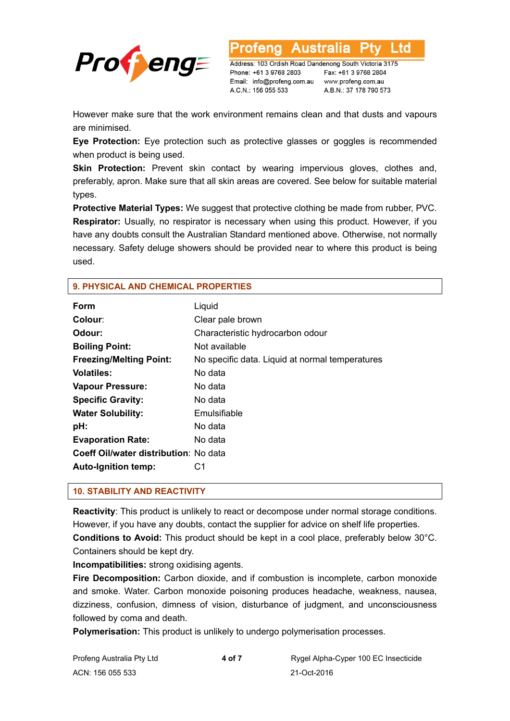

Address: 103 Ordish Road Dandenong South Victoria 3175 Phone: +61 3 9768 2803 Email: info@profeng.com.au A.C.N.: 156 055 533

Australia

Fax: +61 3 9768 2804 www.profeng.com.au A.B.N.: 37 178 790 573

L td

However make sure that the work environment remains clean and that dusts and vapours are minimised.

**Eye Protection:** Eye protection such as protective glasses or goggles is recommended when product is being used.

**Skin Protection:** Prevent skin contact by wearing impervious gloves, clothes and, preferably, apron. Make sure that all skin areas are covered. See below for suitable material types.

**Protective Material Types:** We suggest that protective clothing be made from rubber, PVC. **Respirator:** Usually, no respirator is necessary when using this product. However, if you have any doubts consult the Australian Standard mentioned above. Otherwise, not normally necessary. Safety deluge showers should be provided near to where this product is being used.

| Form                                  | Liquid                                          |
|---------------------------------------|-------------------------------------------------|
| Colour:                               | Clear pale brown                                |
| Odour:                                | Characteristic hydrocarbon odour                |
| <b>Boiling Point:</b>                 | Not available                                   |
| <b>Freezing/Melting Point:</b>        | No specific data. Liquid at normal temperatures |
| <b>Volatiles:</b>                     | No data                                         |
| <b>Vapour Pressure:</b>               | No data                                         |
| <b>Specific Gravity:</b>              | No data                                         |
| <b>Water Solubility:</b>              | Emulsifiable                                    |
| pH:                                   | No data                                         |
| <b>Evaporation Rate:</b>              | No data                                         |
| Coeff Oil/water distribution: No data |                                                 |
| <b>Auto-Ignition temp:</b>            | C1                                              |
|                                       |                                                 |

#### **9. PHYSICAL AND CHEMICAL PROPERTIES**

#### **10. STABILITY AND REACTIVITY**

**Reactivity**: This product is unlikely to react or decompose under normal storage conditions. However, if you have any doubts, contact the supplier for advice on shelf life properties. **Conditions to Avoid:** This product should be kept in a cool place, preferably below 30°C. Containers should be kept dry.

**Incompatibilities:** strong oxidising agents.

**Fire Decomposition:** Carbon dioxide, and if combustion is incomplete, carbon monoxide and smoke. Water. Carbon monoxide poisoning produces headache, weakness, nausea, dizziness, confusion, dimness of vision, disturbance of judgment, and unconsciousness followed by coma and death.

**Polymerisation:** This product is unlikely to undergo polymerisation processes.

| Profeng Australia Pty Ltd | 4 of 7 | Rygel Alpha-Cyper 100 EC Insecticide |
|---------------------------|--------|--------------------------------------|
| ACN: 156 055 533          |        | 21-Oct-2016                          |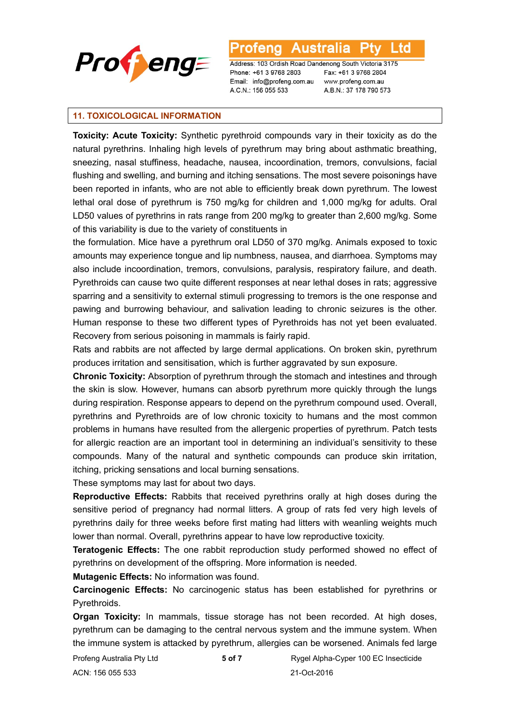

l td

Address: 103 Ordish Road Dandenong South Victoria 3175 Phone: +61 3 9768 2803 Email: info@profeng.com.au A.C.N.: 156 055 533

Fax: +61 3 9768 2804 www.profeng.com.au A.B.N.: 37 178 790 573

#### **11. TOXICOLOGICAL INFORMATION**

**Toxicity: Acute Toxicity:** Synthetic pyrethroid compounds vary in their toxicity as do the natural pyrethrins. Inhaling high levels of pyrethrum may bring about asthmatic breathing, sneezing, nasal stuffiness, headache, nausea, incoordination, tremors, convulsions, facial flushing and swelling, and burning and itching sensations. The most severe poisonings have been reported in infants, who are not able to efficiently break down pyrethrum. The lowest lethal oral dose of pyrethrum is 750 mg/kg for children and 1,000 mg/kg for adults. Oral LD50 values of pyrethrins in rats range from 200 mg/kg to greater than 2,600 mg/kg. Some of this variability is due to the variety of constituents in

the formulation. Mice have a pyrethrum oral LD50 of 370 mg/kg. Animals exposed to toxic amounts may experience tongue and lip numbness, nausea, and diarrhoea. Symptoms may also include incoordination, tremors, convulsions, paralysis, respiratory failure, and death. Pyrethroids can cause two quite different responses at near lethal doses in rats; aggressive sparring and a sensitivity to external stimuli progressing to tremors is the one response and pawing and burrowing behaviour, and salivation leading to chronic seizures is the other. Human response to these two different types of Pyrethroids has not yet been evaluated. Recovery from serious poisoning in mammals is fairly rapid.

Rats and rabbits are not affected by large dermal applications. On broken skin, pyrethrum produces irritation and sensitisation, which is further aggravated by sun exposure.

**Chronic Toxicity:** Absorption of pyrethrum through the stomach and intestines and through the skin is slow. However, humans can absorb pyrethrum more quickly through the lungs during respiration. Response appears to depend on the pyrethrum compound used. Overall, pyrethrins and Pyrethroids are of low chronic toxicity to humans and the most common problems in humans have resulted from the allergenic properties of pyrethrum. Patch tests for allergic reaction are an important tool in determining an individual's sensitivity to these compounds. Many of the natural and synthetic compounds can produce skin irritation, itching, pricking sensations and local burning sensations.

These symptoms may last for about two days.

**Reproductive Effects:** Rabbits that received pyrethrins orally at high doses during the sensitive period of pregnancy had normal litters. A group of rats fed very high levels of pyrethrins daily for three weeks before first mating had litters with weanling weights much lower than normal. Overall, pyrethrins appear to have low reproductive toxicity.

**Teratogenic Effects:** The one rabbit reproduction study performed showed no effect of pyrethrins on development of the offspring. More information is needed.

**Mutagenic Effects:** No information was found.

**Carcinogenic Effects:** No carcinogenic status has been established for pyrethrins or Pyrethroids.

**Organ Toxicity:** In mammals, tissue storage has not been recorded. At high doses, pyrethrum can be damaging to the central nervous system and the immune system. When the immune system is attacked by pyrethrum, allergies can be worsened. Animals fed large

Profeng Australia Pty Ltd **5 of 7 Rygel Alpha-Cyper 100 EC Insecticide** ACN: 156 055 533 21-Oct-2016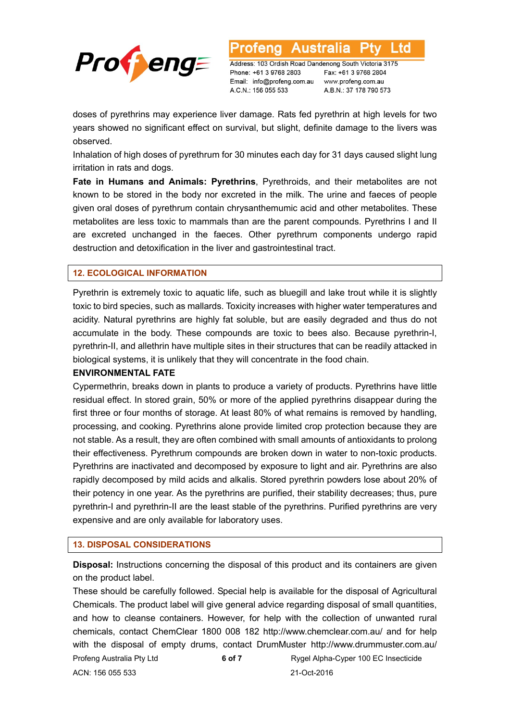

Address: 103 Ordish Road Dandenong South Victoria 3175 Phone: +61 3 9768 2803 Email: info@profeng.com.au A.C.N.: 156 055 533

Fax: +61 3 9768 2804 www.profeng.com.au A.B.N.: 37 178 790 573

L td

doses of pyrethrins may experience liver damage. Rats fed pyrethrin at high levels for two years showed no significant effect on survival, but slight, definite damage to the livers was observed.

Inhalation of high doses of pyrethrum for 30 minutes each day for 31 days caused slight lung irritation in rats and dogs.

**Fate in Humans and Animals: Pyrethrins**, Pyrethroids, and their metabolites are not known to be stored in the body nor excreted in the milk. The urine and faeces of people given oral doses of pyrethrum contain chrysanthemumic acid and other metabolites. These metabolites are less toxic to mammals than are the parent compounds. Pyrethrins I and II are excreted unchanged in the faeces. Other pyrethrum components undergo rapid destruction and detoxification in the liver and gastrointestinal tract.

#### **12. ECOLOGICAL INFORMATION**

Pyrethrin is extremely toxic to aquatic life, such as bluegill and lake trout while it is slightly toxic to bird species, such as mallards. Toxicity increases with higher water temperatures and acidity. Natural pyrethrins are highly fat soluble, but are easily degraded and thus do not accumulate in the body. These compounds are toxic to bees also. Because pyrethrin-I, pyrethrin-II, and allethrin have multiple sites in their structures that can be readily attacked in biological systems, it is unlikely that they will concentrate in the food chain.

#### **ENVIRONMENTAL FATE**

Cypermethrin, breaks down in plants to produce a variety of products. Pyrethrins have little residual effect. In stored grain, 50% or more of the applied pyrethrins disappear during the first three or four months of storage. At least 80% of what remains is removed by handling, processing, and cooking. Pyrethrins alone provide limited crop protection because they are not stable. As a result, they are often combined with small amounts of antioxidants to prolong their effectiveness. Pyrethrum compounds are broken down in water to non-toxic products. Pyrethrins are inactivated and decomposed by exposure to light and air. Pyrethrins are also rapidly decomposed by mild acids and alkalis. Stored pyrethrin powders lose about 20% of their potency in one year. As the pyrethrins are purified, their stability decreases; thus, pure pyrethrin-I and pyrethrin-II are the least stable of the pyrethrins. Purified pyrethrins are very expensive and are only available for laboratory uses.

#### **13. DISPOSAL CONSIDERATIONS**

**Disposal:** Instructions concerning the disposal of this product and its containers are given on the product label.

Profeng Australia Pty Ltd **6 of 7** Rygel Alpha-Cyper 100 EC Insecticide ACN: 156 055 533 21-Oct-2016 These should be carefully followed. Special help is available for the disposal of Agricultural Chemicals. The product label will give general advice regarding disposal of small quantities, and how to cleanse containers. However, for help with the collection of unwanted rural chemicals, contact ChemClear 1800 008 182 http://www.chemclear.com.au/ and for help with the disposal of empty drums, contact DrumMuster http://www.drummuster.com.au/